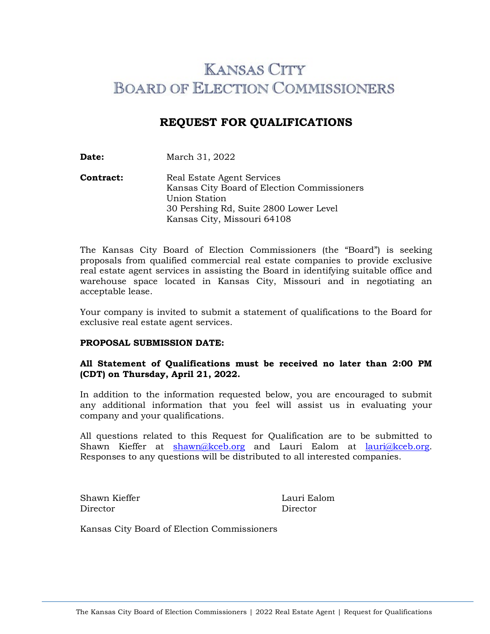# **KANSAS CITY BOARD OF ELECTION COMMISSIONERS**

# **REQUEST FOR QUALIFICATIONS**

**Date:** March 31, 2022

**Contract:** Real Estate Agent Services Kansas City Board of Election Commissioners Union Station 30 Pershing Rd, Suite 2800 Lower Level Kansas City, Missouri 64108

The Kansas City Board of Election Commissioners (the "Board") is seeking proposals from qualified commercial real estate companies to provide exclusive real estate agent services in assisting the Board in identifying suitable office and warehouse space located in Kansas City, Missouri and in negotiating an acceptable lease.

Your company is invited to submit a statement of qualifications to the Board for exclusive real estate agent services.

### **PROPOSAL SUBMISSION DATE:**

# **All Statement of Qualifications must be received no later than 2:00 PM (CDT) on Thursday, April 21, 2022.**

In addition to the information requested below, you are encouraged to submit any additional information that you feel will assist us in evaluating your company and your qualifications.

All questions related to this Request for Qualification are to be submitted to Shawn Kieffer at [shawn@kceb.org](mailto:shawn@kceb.org) and Lauri Ealom at [lauri@kceb.org.](mailto:lauri@kceb.org) Responses to any questions will be distributed to all interested companies.

Shawn Kieffer **Lauri Ealom** Director Director

Kansas City Board of Election Commissioners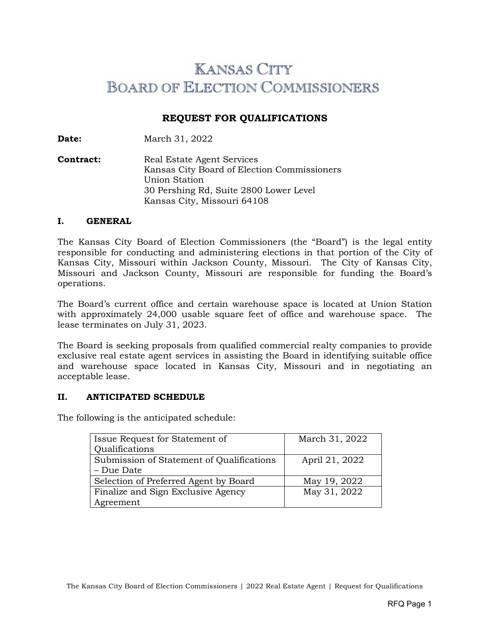# **KANSAS CITY BOARD OF ELECTION COMMISSIONERS**

# **REQUEST FOR QUALIFICATIONS**

**Date:** March 31, 2022

**Contract:** Real Estate Agent Services Kansas City Board of Election Commissioners Union Station 30 Pershing Rd, Suite 2800 Lower Level Kansas City, Missouri 64108

#### **I. GENERAL**

The Kansas City Board of Election Commissioners (the "Board") is the legal entity responsible for conducting and administering elections in that portion of the City of Kansas City, Missouri within Jackson County, Missouri. The City of Kansas City, Missouri and Jackson County, Missouri are responsible for funding the Board's operations.

The Board's current office and certain warehouse space is located at Union Station with approximately 24,000 usable square feet of office and warehouse space. The lease terminates on July 31, 2023.

The Board is seeking proposals from qualified commercial realty companies to provide exclusive real estate agent services in assisting the Board in identifying suitable office and warehouse space located in Kansas City, Missouri and in negotiating an acceptable lease.

### **II. ANTICIPATED SCHEDULE**

The following is the anticipated schedule:

| Issue Request for Statement of            | March 31, 2022 |
|-------------------------------------------|----------------|
| Qualifications                            |                |
| Submission of Statement of Qualifications | April 21, 2022 |
| – Due Date                                |                |
| Selection of Preferred Agent by Board     | May 19, 2022   |
| Finalize and Sign Exclusive Agency        | May 31, 2022   |
| Agreement                                 |                |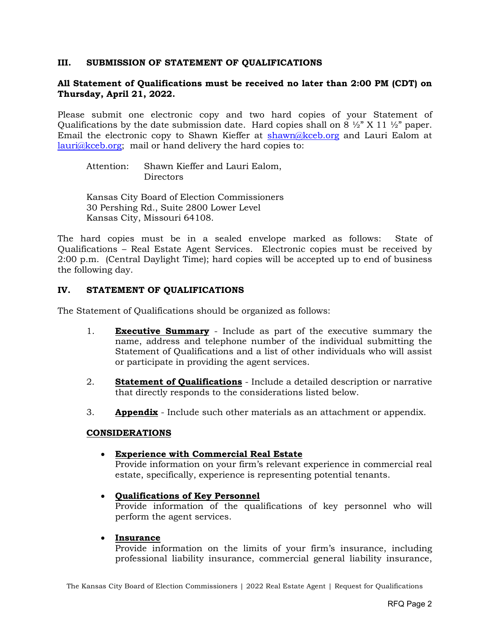## **III. SUBMISSION OF STATEMENT OF QUALIFICATIONS**

# **All Statement of Qualifications must be received no later than 2:00 PM (CDT) on Thursday, April 21, 2022.**

Please submit one electronic copy and two hard copies of your Statement of Qualifications by the date submission date. Hard copies shall on 8  $\frac{1}{2}$  X 11  $\frac{1}{2}$  paper. Email the electronic copy to Shawn Kieffer at [shawn@kceb.org](mailto:shawn@kceb.org) and Lauri Ealom at [lauri@kceb.org;](mailto:lauri@kceb.org) mail or hand delivery the hard copies to:

Attention: Shawn Kieffer and Lauri Ealom, Directors

Kansas City Board of Election Commissioners 30 Pershing Rd., Suite 2800 Lower Level Kansas City, Missouri 64108.

The hard copies must be in a sealed envelope marked as follows: State of Qualifications – Real Estate Agent Services. Electronic copies must be received by 2:00 p.m. (Central Daylight Time); hard copies will be accepted up to end of business the following day.

# **IV. STATEMENT OF QUALIFICATIONS**

The Statement of Qualifications should be organized as follows:

- 1. **Executive Summary** Include as part of the executive summary the name, address and telephone number of the individual submitting the Statement of Qualifications and a list of other individuals who will assist or participate in providing the agent services.
- 2. **Statement of Qualifications** Include a detailed description or narrative that directly responds to the considerations listed below.
- 3. **Appendix** Include such other materials as an attachment or appendix.

### **CONSIDERATIONS**

### • **Experience with Commercial Real Estate**

Provide information on your firm's relevant experience in commercial real estate, specifically, experience is representing potential tenants.

### • **Qualifications of Key Personnel**

Provide information of the qualifications of key personnel who will perform the agent services.

### • **Insurance**

Provide information on the limits of your firm's insurance, including professional liability insurance, commercial general liability insurance,